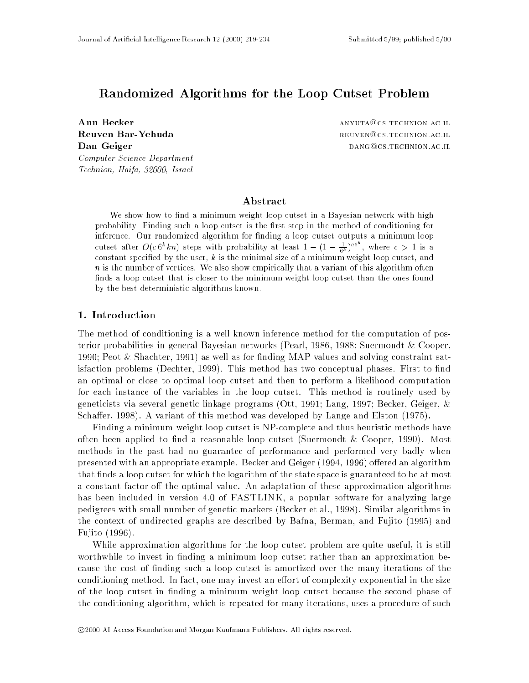# Randomized Algorithms for the Loop Cutset Problem

**Ann Becker** anyuta **Ann Becker** and **ANYUTA CONS** ANYUTA **CONS** ANYUTA **CONS** ANYUTA **CONS** Reuven Bar-Yehuda Dan Geiger Computer Science Department Technion, Haifa, 32000, Israel

REUVEN@CS.TECHNION.AC.IL DANG @CS. TECHNION.AC.IL

# Abstract

We show how to find a minimum weight loop cutset in a Bayesian network with high probability. Finding such a loop cutset is the first step in the method of conditioning for inference. Our randomized algorithm for finding a loop cutset outputs a minimum loop cutset after  $O(c 6^k k n)$  steps with probability at least  $1 - (1 - \frac{1}{6k})^{c \circ \cdot}$ , where  $c > 1$  is a constant specified by the user,  $k$  is the minimal size of a minimum weight loop cutset, and <sup>n</sup> is the number of vertices. We also show empirically that a variant of this algorithm often finds a loop cutset that is closer to the minimum weight loop cutset than the ones found by the best deterministic algorithms known.

# 1. Introduction

The method of conditioning is a well known inference method for the computation of posterior probabilities in general Bayesian networks (Pearl, 1986, 1988; Suermondt & Cooper, 1990; Peot & Shachter, 1991) as well as for finding MAP values and solving constraint satisfaction problems (Dechter,  $1999$ ). This method has two conceptual phases. First to find an optimal or close to optimal loop cutset and then to perform a likelihood computation for each instance of the variables in the loop cutset. This method is routinely used by geneticists via several genetic linkage programs (Ott, 1991; Lang, 1997; Becker, Geiger, & Schaffer, 1998). A variant of this method was developed by Lange and Elston (1975).

Finding a minimum weight loop cutset is NP-complete and thus heuristic methods have often been applied to find a reasonable loop cutset (Suermondt  $\&$  Cooper, 1990). Most methods in the past had no guarantee of performance and performed very badly when presented with an appropriate example. Becker and Geiger (1994, 1996) offered an algorithm that finds a loop cutset for which the logarithm of the state space is guaranteed to be at most a constant factor off the optimal value. An adaptation of these approximation algorithms has been included in version 4.0 of FASTLINK, a popular software for analyzing large pedigrees with small number of genetic markers (Becker et al., 1998). Similar algorithms in the context of undirected graphs are described by Bafna, Berman, and Fujito (1995) and Fujito (1996).

While approximation algorithms for the loop cutset problem are quite useful, it is still worthwhile to invest in finding a minimum loop cutset rather than an approximation because the cost of nding such a loop cutset is amortized over the many iterations of the conditioning method. In fact, one may invest an effort of complexity exponential in the size of the loop cutset in nding a minimum weight loop cutset because the second phase of the conditioning algorithm, which is repeated for many iterations, uses a procedure of such

<sup>c</sup> 2000 AI Access Foundation and Morgan Kaufmann Publishers. All rights reserved.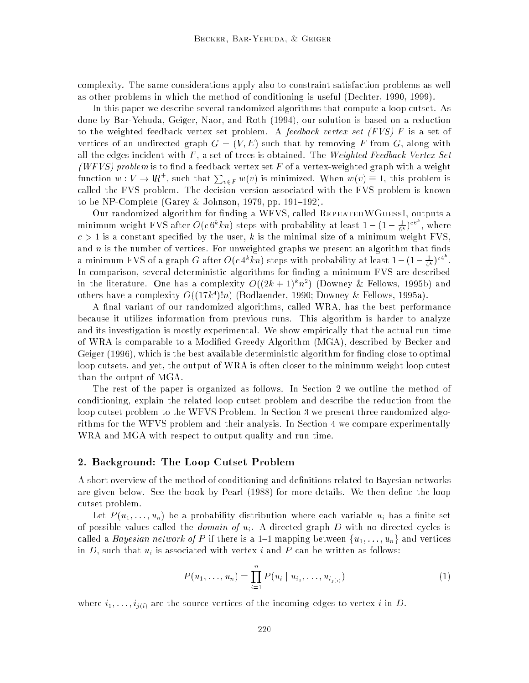complexity. The same considerations apply also to constraint satisfaction problems as well as other problems in which the method of conditioning is useful (Dechter, 1990, 1999).

In this paper we describe several randomized algorithms that compute a loop cutset. As done by Bar-Yehuda, Geiger, Naor, and Roth (1994), our solution is based on a reduction to the weighted feedback vertex set problem. A *feedback vertex set (FVS)*  $F$  is a set of vertices of an undirected graph  $G = (V, E)$  such that by removing F from G, along with all the edges incident with  $F$ , a set of trees is obtained. The Weighted Feedback Vertex Set (WFVS) problem is to find a feedback vertex set F of a vertex-weighted graph with a weight function  $w: V \to \mathrm{IR}^+$ , such that  $\sum_{v \in F} w(v)$  is minimized. When  $w(v) \equiv 1$ , this problem is called the FVS problem. The decision version associated with the FVS problem is known to be NP-Complete (Garey & Johnson, 1979, pp. 191–192).

Our randomized algorithm for finding a WFVS, called REPEATEDWGUESSI, outputs a minimum weight FVS after  $O(c 6^n k n)$  steps with probability at least  $1-(1-\frac{1}{6k})^{co}$ , where  $c > 1$  is a constant specified by the user, k is the minimal size of a minimum weight FVS, and  $n$  is the number of vertices. For unweighted graphs we present an algorithm that finds a minimum FVS of a graph G after  $O(c\,4^k kn)$  steps with probability at least  $1-(1-\frac{1}{4^k})^{c_4}$ . In comparison, several deterministic algorithms for finding a minimum FVS are described in the literature. One has a complexity  $O((2\kappa + 1)^n n^*)$  (Downey & Fellows, 1995b) and others have a complexity  $O((1/k^2)/n)$  (Bodlaender, 1990; Downey  $\propto$  Fellows, 1995a).

A final variant of our randomized algorithms, called WRA, has the best performance because it utilizes information from previous runs. This algorithm is harder to analyze and its investigation is mostly experimental. We show empirically that the actual run time of WRA is comparable to a Modified Greedy Algorithm (MGA), described by Becker and Geiger  $(1996)$ , which is the best available deterministic algorithm for finding close to optimal loop cutsets, and yet, the output of WRA is often closer to the minimum weight loop cutest than the output of MGA.

The rest of the paper is organized as follows. In Section 2 we outline the method of conditioning, explain the related loop cutset problem and describe the reduction from the loop cutset problem to the WFVS Problem. In Section 3 we present three randomized algorithms for the WFVS problem and their analysis. In Section 4 we compare experimentally WRA and MGA with respect to output quality and run time.

#### 2. Background: The Loop Cutset Problem

A short overview of the method of conditioning and definitions related to Bayesian networks are given below. See the book by Pearl (1988) for more details. We then define the loop cutset problem.

Let  $P(u_1, \ldots, u_n)$  be a probability distribution where each variable  $u_i$  has a finite set of possible values called the *domain of*  $u_i$ . A directed graph D with no directed cycles is called a *Bayesian network of* P if there is a 1-1 mapping between  $\{u_1, \ldots, u_n\}$  and vertices in  $D$ , such that  $u_i$  is associated with vertex i and  $P$  can be written as follows:

$$
P(u_1, \ldots, u_n) = \prod_{i=1}^n P(u_i \mid u_{i_1}, \ldots, u_{i_{j(i)}})
$$
\n(1)

where  $i_1, \ldots, i_{j(i)}$  are the source vertices of the incoming edges to vertex i in D.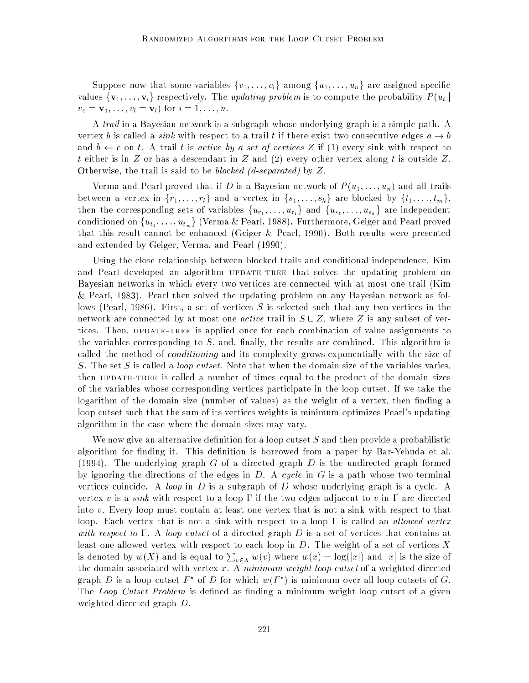Suppose now that some variables  $\{v_1,\ldots,v_l\}$  among  $\{u_1,\ldots,u_n\}$  are assigned specific values  $\{v_1, \ldots, v_l\}$  respectively. The *updating problem* is to compute the probability  $P(u_i)$  $v_1 = \mathbf{v}_1, \ldots, v_l = \mathbf{v}_l$  for  $i = 1, \ldots, n$ .

A trail in a Bayesian network is a subgraph whose underlying graph is a simple path. A vertex b is called a *sink* with respect to a trail t if there exist two consecutive edges  $a \rightarrow b$ and  $b \leftarrow c$  on t. A trail t is active by a set of vertices Z if (1) every sink with respect to t either is in Z or has a descendant in Z and  $(2)$  every other vertex along t is outside Z. Otherwise, the trail is said to be *blocked (d-separated)* by  $Z$ .

Verma and Pearl proved that if D is a Bayesian network of  $P(u_1, \ldots, u_n)$  and all trails between a vertex in  $\{r_1, \ldots, r_l\}$  and a vertex in  $\{s_1, \ldots, s_k\}$  are blocked by  $\{t_1, \ldots, t_m\}$ , then the corresponding sets of variables fur1 ; : : : ; url <sup>g</sup> and fus1 ; : : : ; uskg are independent conditioned on fut1 ; : : : ; utmg (Verma & Pearl, 1988). Furthermore, Geiger and Pearl proved that this result cannot be enhanced (Geiger & Pearl, 1990). Both results were presented and extended by Geiger, Verma, and Pearl (1990).

Using the close relationship between blocked trails and conditional independence, Kim and Pearl developed an algorithm UPDATE-TREE that solves the updating problem on Bayesian networks in which every two vertices are connected with at most one trail (Kim & Pearl, 1983). Pearl then solved the updating problem on any Bayesian network as follows (Pearl, 1986). First, a set of vertices S is selected such that any two vertices in the network are connected by at most one *active* trail in  $S \cup Z$ , where Z is any subset of vertices. Then, UPDATE-TREE is applied once for each combination of value assignments to the variables corresponding to  $S$ , and, finally, the results are combined. This algorithm is called the method of *conditioning* and its complexity grows exponentially with the size of S. The set S is called a *loop cutset*. Note that when the domain size of the variables varies, then UPDATE-TREE is called a number of times equal to the product of the domain sizes of the variables whose corresponding vertices participate in the loop cutset. If we take the logarithm of the domain size (number of values) as the weight of a vertex, then finding a loop cutset such that the sum of its vertices weights is minimum optimizes Pearl's updating algorithm in the case where the domain sizes may vary.

We now give an alternative definition for a loop cutset  $S$  and then provide a probabilistic algorithm for finding it. This definition is borrowed from a paper by Bar-Yehuda et al. (1994). The underlying graph G of a directed graph D is the undirected graph formed by ignoring the directions of the edges in  $D$ . A cycle in  $G$  is a path whose two terminal vertices coincide. A loop in D is a subgraph of D whose underlying graph is a cycle. A vertex v is a *sink* with respect to a loop  $\Gamma$  if the two edges adjacent to v in  $\Gamma$  are directed into v. Every loop must contain at least one vertex that is not a sink with respect to that loop. Each vertex that is not a sink with respect to a loop  $\Gamma$  is called an *allowed vertex* with respect to  $\Gamma$ . A loop cutset of a directed graph D is a set of vertices that contains at least one allowed vertex with respect to each loop in  $D.$  The weight of a set of vertices  $X$ is denoted by  $w(X)$  and is equal to  $\sum_{v \in X} w(v)$  where  $w(x) = \log(|x|)$  and  $|x|$  is the size of the domain associated with vertex  $x$ . A minimum weight loop cutset of a weighted directed graph  $D$  is a loop cutset  $F$  - of  $D$  for which  $w(F_+)$  is minimum over all loop cutsets of  $G.$ The *Loop Cutset Problem* is defined as finding a minimum weight loop cutset of a given weighted directed graph D.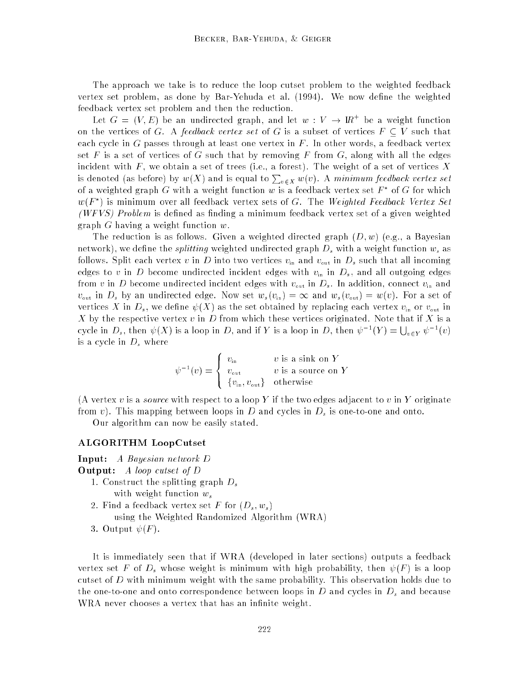The approach we take is to reduce the loop cutset problem to the weighted feedback vertex set problem, as done by Bar-Yehuda et al. (1994). We now define the weighted feedback vertex set problem and then the reduction.

Let  $G = (V, E)$  be an undirected graph, and let  $w: V \rightarrow W$  be a weight function on the vertices of G. A feedback vertex set of G is a subset of vertices  $F \subset V$  such that each cycle in G passes through at least one vertex in  $F$ . In other words, a feedback vertex set F is a set of vertices of G such that by removing F from G, along with all the edges incident with  $F$ , we obtain a set of trees (i.e., a forest). The weight of a set of vertices X is denoted (as before) by  $w(X)$  and is equal to  $\sum_{v \in X} w(v)$ . A *minimum feedback vertex set* of a weighted graph G with a weight function  $w$  is a feedback vertex set  $F$  for G for which  $w(r_\perp)$  is minimum over all feedback vertex sets of G. The *Weighted Feedback Vertex Set* (WFVS) Problem is defined as finding a minimum feedback vertex set of a given weighted graph G having a weight function w.

The reduction is as follows. Given a weighted directed graph  $(D, w)$  (e.g., a Bayesian network), we define the *splitting* weighted undirected graph  $D_s$  with a weight function  $w_s$  as follows. Split each vertex v in D into two vertices  $v_{\rm in}$  and  $v_{\rm out}$  in  $D_s$  such that all incoming edges to v in D become undirected incident edges with  $v_{\text{in}}$  in  $D_s$ , and all outgoing edges from v in D become undirected incident edges with  $v_{\text{out}}$  in  $D_s$ . In addition, connect  $v_{\text{in}}$  and  $v_{\text{out}}$  in  $D_s$  by an undirected edge. Now set  $w_s(v_{\text{in}}) = \infty$  and  $w_s(v_{\text{out}}) = w(v)$ . For a set of vertices X in  $D_s$ , we define  $\psi(X)$  as the set obtained by replacing each vertex  $v_{\text{in}}$  or  $v_{\text{out}}$  in X by the respective vertex v in D from which these vertices originated. Note that if X is a cycle in  $D_s$ , then  $\psi(X)$  is a loop in D, and if Y is a loop in D, then  $\psi^{-1}(Y) = \bigcup_{v \in Y} \psi^{-1}(v)$ is a cycle in  $D_s$  where

$$
\psi^{-1}(v) = \begin{cases} v_{\text{in}} & v \text{ is a sink on } Y \\ v_{\text{out}} & v \text{ is a source on } Y \\ \{v_{\text{in}}, v_{\text{out}}\} & \text{otherwise} \end{cases}
$$

(A vertex  $v$  is a *source* with respect to a loop Y if the two edges adjacent to  $v$  in Y originate from v). This mapping between loops in D and cycles in  $D_s$  is one-to-one and onto.

Our algorithm can now be easily stated.

#### ALGORITHM LoopCutset

- Input: A Bayesian network D Output: A loop cutset of D 1. Construct the splitting graph  $D_s$ with weight function  $w_s$ 2. Find a feedback vertex set F for  $(D_s, w_s)$ 
	- using the Weighted Randomized Algorithm (WRA)
	- 3. Output  $\psi(F)$ .

It is immediately seen that if WRA (developed in later sections) outputs a feedback vertex set F of  $D_s$  whose weight is minimum with high probability, then  $\psi(F)$  is a loop cutset of  $D$  with minimum weight with the same probability. This observation holds due to the one-to-one and onto correspondence between loops in  $D$  and cycles in  $D_s$  and because WRA never chooses a vertex that has an infinite weight.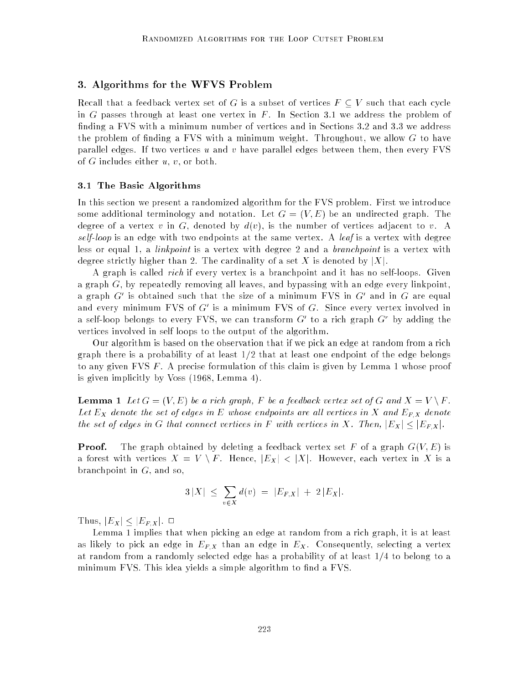# 3. Algorithms for the WFVS Problem

Recall that a feedback vertex set of G is a subset of vertices  $F\subseteq V$  such that each cycle in G passes through at least one vertex in  $F$ . In Section 3.1 we address the problem of finding a FVS with a minimum number of vertices and in Sections 3.2 and 3.3 we address the problem of finding a FVS with a minimum weight. Throughout, we allow  $G$  to have parallel edges. If two vertices u and v have parallel edges between them, then every  $FVS$ of  $G$  includes either  $u, v$ , or both.

### 3.1 The Basic Algorithms

In this section we present a randomized algorithm for the FVS problem. First we introduce some additional terminology and notation. Let  $G = (V, E)$  be an undirected graph. The degree of a vertex v in G, denoted by  $d(v)$ , is the number of vertices adjacent to v. A self-loop is an edge with two endpoints at the same vertex. A leaf is a vertex with degree less or equal 1, a *linkpoint* is a vertex with degree 2 and a *branchpoint* is a vertex with degree strictly higher than 2. The cardinality of a set X is denoted by  $|X|$ .

A graph is called rich if every vertex is a branchpoint and it has no self-loops. Given a graph  $G$ , by repeatedly removing all leaves, and bypassing with an edge every linkpoint, a graph Gos obtained such that the size of a minimum FVS in Goand in Goare equal and every minimum FVS of G-1s a minimum FVS of G. Since every vertex involved in a sen-loop belongs to every **r** vs, we can transform G to a rich graph G by adding the vertices involved in self loops to the output of the algorithm.

Our algorithm is based on the observation that if we pick an edge at random from a rich graph there is a probability of at least  $1/2$  that at least one endpoint of the edge belongs to any given FVS F . A precise formulation of this claim is given by Lemma 1 whose proof is given implicitly by Voss (1968, Lemma 4).

**Lemma 1** Let  $G = (V, E)$  be a rich graph, F be a feedback vertex set of G and  $X = V \setminus F$ . Let  $E_X$  denote the set of edges in E whose endpoints are all vertices in X and  $E_{F,X}$  denote the set of edges in G that connect vertices in F with vertices in X. Then,  $|E_X| \leq |E_{F,X}|$ .

**Proof.** The graph obtained by deleting a feedback vertex set F of a graph  $G(V, E)$  is a forest with vertices  $X = V \setminus F$ . Hence,  $|E_X| < |X|$ . However, each vertex in X is a branchpoint in  $G$ , and so,

$$
3\,|X| \,\leq\, \sum_{v\,\in\,X} d(v) \,=\, |E_{F,X}| \,+\, 2\,|E_X|.
$$

Thus,  $|E_X| \leq |E_{F,X}|$ .  $\Box$ 

Lemma 1 implies that when picking an edge at random from a rich graph, it is at least as likely to pick an edge in  $E_{FX}$  than an edge in  $E_X$ . Consequently, selecting a vertex at random from a randomly selected edge has a probability of at least  $1/4$  to belong to a minimum FVS. This idea yields a simple algorithm to find a FVS.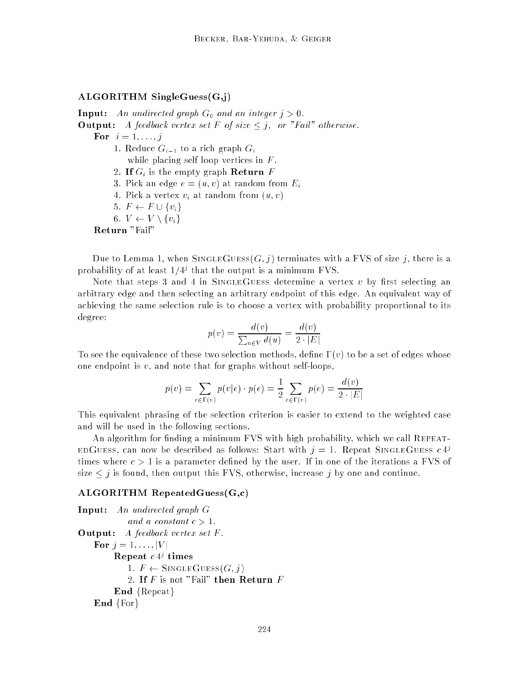# ALGORITHM SingleGuess(G,j)

**Input:** An undirected graph  $G_0$  and an integer  $j > 0$ . **Output:** A feedback vertex set F of size  $\leq j$ , or "Fail" otherwise. For  $i = 1, \ldots, j$ 1. Reduce  $G_{i-1}$  to a rich graph  $G_i$ while placing self loop vertices in  $F$ . 2. If  $G_i$  is the empty graph Return F 3. Pick an edge  $e = (u, v)$  at random from  $E_i$ 4. Pick a vertex  $v_i$  at random from  $(u, v)$ 5.  $F \leftarrow F \cup \{v_i\}$ 6.  $V \leftarrow V \setminus \{v_i\}$ Return "Fail"

Due to Lemma 1, when SINGLEGUESS( $G, j$ ) terminates with a FVS of size j, there is a probability of at least  $1/4^j$  that the output is a minimum  $\mathtt{F}$  vs.

Note that steps 3 and 4 in SINGLEGUESS determine a vertex v by first selecting an arbitrary edge and then selecting an arbitrary endpoint of this edge. An equivalent way of achieving the same selection rule is to choose a vertex with probability proportional to its degree:

$$
p(v) = \frac{d(v)}{\sum_{u \in V} d(u)} = \frac{d(v)}{2 \cdot |E|}
$$

To see the equivalence of these two selection methods, define  $\Gamma(v)$  to be a set of edges whose one endpoint is  $v$ , and note that for graphs without self-loops,

$$
p(v) = \sum_{e \in \Gamma(v)} p(v|e) \cdot p(e) = \frac{1}{2} \sum_{e \in \Gamma(v)} p(e) = \frac{d(v)}{2 \cdot |E|}
$$

This equivalent phrasing of the selection criterion is easier to extend to the weighted case and will be used in the following sections.

An algorithm for finding a minimum FVS with high probability, which we call REPEAT-EDGUESS, can now be described as follows: Start with  $j = 1$ . Repeat SINGLEGUESS  $c 4^{j}$ times where  $c > 1$  is a parameter defined by the user. If in one of the iterations a FVS of size  $\leq j$  is found, then output this FVS, otherwise, increase j by one and continue.

#### ALGORITHM RepeatedGuess(G,c)

```
Input: An undirected graph G
            and a constant c > 1.
Output: A feedback vertex set F.
   For j = 1, ..., |V|\bf{ne} peat c \not\perp times
            1. F \leftarrow SINGLEGUESS(G, j)2. If F is not "Fail" then Return FEnd {Repest}End {For}
```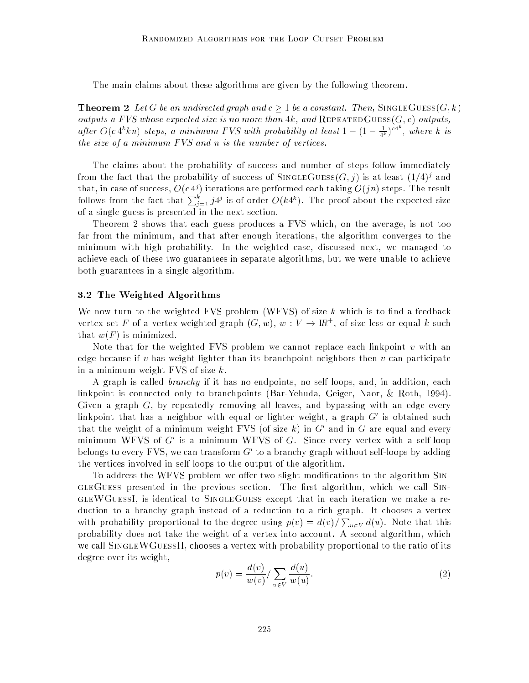The main claims about these algorithms are given by the following theorem.

**Theorem 2** Let G be an undirected graph and  $c \geq 1$  be a constant. Then, SINGLEGUESS $(G, k)$ outputs a FVS whose expected size is no more than 4k, and REPEATEDGUESS( $G, c$ ) outputs, after  $O(c 4^k kn)$  steps, a minimum FVS with probability at least  $1-(1-\frac{1}{4^k})^{c4^n}$ , where k is the size of a minimum FVS and n is the number of vertices.

The claims about the probability of success and number of steps follow immediately from the fact that the probability of success of SINGLEGUESS(G,  $\eta$  ) is at least (1/4) $^{\circ}$  and that, in case of success,  $O(c_4)$  iterations are performed each taking  $O(7n)$  steps. The result follows from the fact that  $\sum_{i=1}^s j4^j$  is of order  $O(k4^k)$ . The proof about the expected size of a single guess is presented in the next section.

Theorem 2 shows that each guess produces a FVS which, on the average, is not too far from the minimum, and that after enough iterations, the algorithm converges to the minimum with high probability. In the weighted case, discussed next, we managed to achieve each of these two guarantees in separate algorithms, but we were unable to achieve both guarantees in a single algorithm.

## 3.2 The Weighted Algorithms

We now turn to the weighted FVS problem (WFVS) of size  $k$  which is to find a feedback vertex set F of a vertex-weighted graph  $(G, w)$ ,  $w: V \rightarrow W$  , of size less or equal  $k$  such that  $w(F)$  is minimized.

Note that for the weighted FVS problem we cannot replace each linkpoint  $v$  with an edge because if v has weight lighter than its branchpoint neighbors then  $v$  can participate in a minimum weight FVS of size k.

A graph is called branchy if it has no endpoints, no self loops, and, in addition, each linkpoint is connected only to branchpoints (Bar-Yehuda, Geiger, Naor, & Roth, 1994). Given a graph  $G$ , by repeatedly removing all leaves, and bypassing with an edge every linkpoint that has a neighbor with equal or lighter weight, a graph G<sup>0</sup> is obtained such that the weight of a minimum weight  $\mathbf r$  vs (of size  $\kappa$ ) in  $G$  and in  $G$  are equal and every minimum WFVS of G<sup>0</sup> is a minimum WFVS of G. Since every vertex with a self-loop belongs to every FVS, we can transform G<sup>0</sup> to a branchy graph without self-loops by adding the vertices involved in self loops to the output of the algorithm.

To address the WFVS problem we offer two slight modifications to the algorithm SIN-GLEGUESS presented in the previous section. The first algorithm, which we call SINgleWGuessI, is identical to SingleGuess except that in each iteration we make a reduction to a branchy graph instead of a reduction to a rich graph. It chooses a vertex with probability proportional to the degree using  $p(v) = d(v)/\sum_{u \in V} d(u)$ . Note that this probability does not take the weight of a vertex into account. A second algorithm, which we call SINGLEWGUESSII, chooses a vertex with probability proportional to the ratio of its degree over its weight,

$$
p(v) = \frac{d(v)}{w(v)} / \sum_{u \in V} \frac{d(u)}{w(u)}.
$$
\n
$$
(2)
$$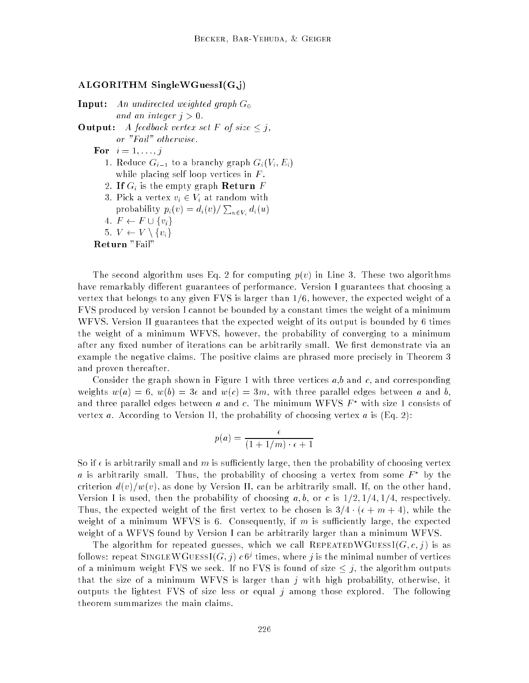#### ALGORITHM SingleWGuessI(G,j)

**Input:** An undirected weighted graph  $G_0$ and an integer  $i > 0$ .

**Output:** A feedback vertex set F of size  $\leq j$ , or "Fail" otherwise.

For  $i = 1, \ldots, j$ 

- 1. Reduce  $G_{i-1}$  to a branchy graph  $G_i(V_i, E_i)$ while placing self loop vertices in  $F$ .
- 2. If  $G_i$  is the empty graph Return  $F$
- 3. Pick a vertex  $v_i \in V_i$  at random with probability  $p_i(v) = d_i(v)/\sum_{u \in V_i} d_i(u)$
- 4.  $F \leftarrow F \cup \{v_i\}$

$$
5. V \leftarrow V \setminus \{v_i\}
$$

Return "Fail"

The second algorithm uses Eq. 2 for computing  $p(v)$  in Line 3. These two algorithms have remarkably different guarantees of performance. Version I guarantees that choosing a vertex that belongs to any given FVS is larger than  $1/6$ , however, the expected weight of a FVS produced by version I cannot be bounded by a constant times the weight of a minimum WFVS. Version II guarantees that the expected weight of its output is bounded by 6 times the weight of a minimum WFVS, however, the probability of converging to a minimum after any fixed number of iterations can be arbitrarily small. We first demonstrate via an example the negative claims. The positive claims are phrased more precisely in Theorem 3 and proven thereafter.

Consider the graph shown in Figure 1 with three vertices  $a, b$  and  $c$ , and corresponding weights  $w(a) = 6$ ,  $w(b) = 3\epsilon$  and  $w(c) = 3m$ , with three parallel edges between a and b, and three parallel edges between a and c. The minimum WFVS  $F^*$  with size 1 consists of vertex a. According to Version II, the probability of choosing vertex a is  $(Eq, 2)$ :

$$
p(a) = \frac{\epsilon}{(1 + 1/m) \cdot \epsilon + 1}
$$

So if  $\epsilon$  is arbitrarily small and m is sufficiently large, then the probability of choosing vertex  $a$  is arbitrarily small. Thus, the probability of choosing a vertex from some  $\bar{F}$  by the criterion  $d(v)/w(v)$ , as done by Version II, can be arbitrarily small. If, on the other hand, Version I is used, then the probability of choosing a, b, or c is  $1/2$ ,  $1/4$ ,  $1/4$ , respectively. Thus, the expected weight of the first vertex to be chosen is  $3/4 \cdot (\epsilon + m + 4)$ , while the weight of a minimum WFVS is 6. Consequently, if  $m$  is sufficiently large, the expected weight of a WFVS found by Version I can be arbitrarily larger than a minimum WFVS.

The algorithm for repeated guesses, which we call REPEATEDWGUESSI( $G, c, j$ ) is as follows: repeat SINGLE W GUESSI(G,  $\eta$ )  $c$  o' times, where  $\eta$  is the minimal number of vertices of a minimum weight FVS we seek. If no FVS is found of size  $\leq j$ , the algorithm outputs that the size of a minimum WFVS is larger than j with high probability, otherwise, it outputs the lightest FVS of size less or equal j among those explored. The following theorem summarizes the main claims.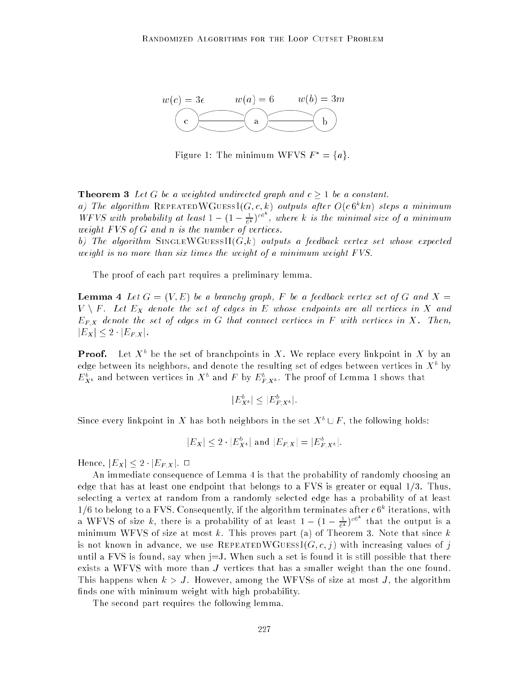

Figure 1: The minimum WFVS  $F^* = \{a\}.$ 

**Theorem 3** Let G be a weighted undirected graph and  $c > 1$  be a constant. a) The algorithm REPEATEDWGUESSI(G,C,R) outputs after  $O(\epsilon \sigma^k \kappa n)$  steps a minimum WFVS with probability at least  $1 - (1 - \frac{1}{6k})^{\text{co}}$ , where k is the minimal size of a minimum weight FVS of G and n is the number of vertices.

b) The algorithm SINGLEWGUESSII $(G,k)$  outputs a feedback vertex set whose expected weight is no more than six times the weight of a minimum weight FVS.

The proof of each part requires a preliminary lemma.

**Lemma 4** Let  $G = (V, E)$  be a branchy graph, F be a feedback vertex set of G and  $X =$  $V \setminus F$ . Let  $E_X$  denote the set of edges in E whose endpoints are all vertices in X and  $E_{F,X}$  denote the set of edges in G that connect vertices in F with vertices in X. Then,  $|E_X| \leq 2 \cdot |E_{F,X}|.$ 

**Proof.** Let  $A^+$  be the set of branchpoints in  $A$  . We replace every linkpoint in  $A$  by an edge between its neighbors, and denote the resulting set of edges between vertices in  $\Lambda^+$  by  $E_{X^b}$  and between vertices in  $X^+$  and  $F$  by  $E_{F,X^b}$ . The proof of Lemma 1 shows that

$$
|E_{X^b}^b| \le |E_{F,X^b}^b|.
$$

Since every linkpoint in  $\Lambda$  has both neighbors in the set  $\Lambda^+\cup I$  , the following holds:

$$
|E_X| \leq 2 \cdot |E_{X^b}^b|
$$
 and  $|E_{F,X}| = |E_{F,X^b}^b|$ .

Hence,  $|E_X| \leq 2 \cdot |E_{F,X}|$ .  $\Box$ 

An immediate consequence of Lemma 4 is that the probability of randomly choosing an edge that has at least one endpoint that belongs to a FVS is greater or equal  $1/3$ . Thus, selecting a vertex at random from a randomly selected edge has a probability of at least  $1/6$  to belong to a FVS. Consequently, if the algorithm terminates after  $c$  6% flerations, with a WFVS of size k, there is a probability of at least  $1-(1-\frac{1}{6k})^{c6^{n}}$  that the output is a minimum WFVS of size at most k. This proves part (a) of Theorem 3. Note that since  $k$ is not known in advance, we use REPEATEDWGUESSI $(G, c, j)$  with increasing values of j until a FVS is found, say when  $j=J$ . When such a set is found it is still possible that there exists a WFVS with more than J vertices that has a smaller weight than the one found. This happens when  $k > J$ . However, among the WFVSs of size at most J, the algorithm finds one with minimum weight with high probability.

The second part requires the following lemma.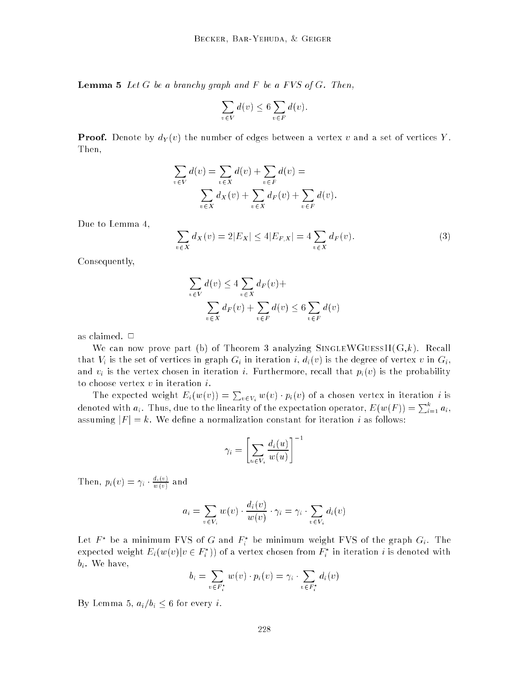**Lemma 5** Let  $G$  be a branchy graph and  $F$  be a FVS of  $G$ . Then,

$$
\sum_{v \in V} d(v) \le 6 \sum_{v \in F} d(v).
$$

**Proof.** Denote by  $d_Y(v)$  the number of edges between a vertex v and a set of vertices Y. Then,

$$
\sum_{v \in V} d(v) = \sum_{v \in X} d(v) + \sum_{v \in F} d(v) =
$$
  

$$
\sum_{v \in X} d_X(v) + \sum_{v \in X} d_F(v) + \sum_{v \in F} d(v).
$$

Due to Lemma 4,

 $\sum d_X(v) = 2|E_X| < 4|E_{F,X}| = 4 \sum d_F(v).$  (3) v2X v <u>v</u> 44

Consequently,

$$
\sum_{v \in V} d(v) \le 4 \sum_{v \in X} d_F(v) +
$$
  

$$
\sum_{v \in X} d_F(v) + \sum_{v \in F} d(v) \le 6 \sum_{v \in F} d(v)
$$

as claimed.  $\Box$ 

We can now prove part (b) of Theorem 3 analyzing SINGLEWGUESSII(G,k). Recall that  $V_i$  is the set of vertices in graph  $G_i$  in iteration i,  $d_i(v)$  is the degree of vertex v in  $G_i$ , and  $v_i$  is the vertex chosen in iteration i. Furthermore, recall that  $p_i(v)$  is the probability to choose vertex  $v$  in iteration  $i$ .

The expected weight  $E_i(w(v)) = \sum_{v \in V_i} w(v) \cdot p_i(v)$  of a chosen vertex in iteration  $i$  is denoted with  $a_i$ . Thus, due to the linearity of the expectation operator,  $E(w(F)) = \sum_{i=1}^n a_i$ , assuming  $|F| = k$ . We define a normalization constant for iteration i as follows:

$$
\gamma_i = \left[ \sum_{u \in V_i} \frac{d_i(u)}{w(u)} \right]^{-1}
$$

Then,  $p_i(v) = \gamma_i \cdot \frac{\gamma_i(v)}{w(v)}$  and

$$
a_i = \sum_{v \in V_i} w(v) \cdot \frac{d_i(v)}{w(v)} \cdot \gamma_i = \gamma_i \cdot \sum_{v \in V_i} d_i(v)
$$

Let  $F$  be a minimum FVS of G and  $F_i$  be minimum weight FVS of the graph  $\mathrm{G}_i$ . The expected weight  $E_i(w(v)|v \in F_i$  )) of a vertex chosen from  $F_i$  in iteration  $i$  is denoted with  $b_i$ . We have,

$$
b_i = \sum_{v \in F_i^*} w(v) \cdot p_i(v) = \gamma_i \cdot \sum_{v \in F_i^*} d_i(v)
$$

By Lemma 5,  $a_i/b_i \leq 6$  for every i.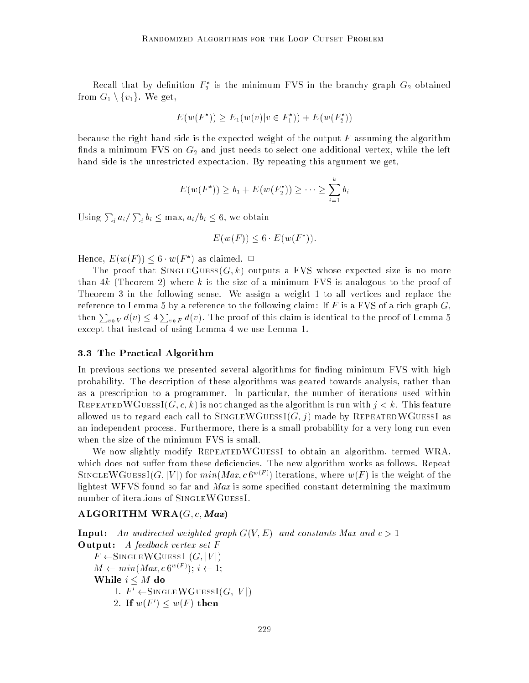Recall that by definition  $F_2$  is the minimum FVS in the branchy graph  $G_2$  obtained from  $G_1 \setminus \{v_1\}$ . We get,

$$
E(w(F^*)) \ge E_1(w(v)|v \in F_1^*)) + E(w(F_2^*))
$$

because the right hand side is the expected weight of the output  $F$  assuming the algorithm finds a minimum FVS on  $G_2$  and just needs to select one additional vertex, while the left hand side is the unrestricted expectation. By repeating this argument we get,

$$
E(w(F^*)) \ge b_1 + E(w(F_2^*)) \ge \cdots \ge \sum_{i=1}^k b_i
$$

Using  $\sum_i a_i/\sum_i b_i \leq \max_i a_i/b_i \leq 6$ , we obtain

$$
E(w(F)) \le 6 \cdot E(w(F^*)).
$$

Hence, E(w(F )) 6 w(F ) as claimed. <sup>2</sup>

The proof that SINGLEGUESS( $G, k$ ) outputs a FVS whose expected size is no more than 4k (Theorem 2) where k is the size of a minimum FVS is analogous to the proof of Theorem 3 in the following sense. We assign a weight 1 to all vertices and replace the reference to Lemma 5 by a reference to the following claim: If F is a FVS of a rich graph  $G$ , then  $\sum_{v\in V} d(v) \leq 4 \sum_{v\in F} d(v)$ . The proof of this claim is identical to the proof of Lemma 5 except that instead of using Lemma 4 we use Lemma 1.

#### 3.3 The Practical Algorithm

In previous sections we presented several algorithms for finding minimum FVS with high probability. The description of these algorithms was geared towards analysis, rather than as a prescription to a programmer. In particular, the number of iterations used within REPEATEDWGUESSI( $G, c, k$ ) is not changed as the algorithm is run with  $j < k$ . This feature allowed us to regard each call to SINGLEWGUESSI( $G, j$ ) made by REPEATEDWGUESSI as an independent process. Furthermore, there is a small probability for a very long run even when the size of the minimum FVS is small.

We now slightly modify REPEATEDWGUESSI to obtain an algorithm, termed WRA, which does not suffer from these deficiencies. The new algorithm works as follows. Repeat SINGLE W GUESSI(G, V | ) for  $min(max, CO^{\sim} \leq t)$  iterations, where  $w(F)$  is the weight of the lightest WFVS found so far and  $Max$  is some specified constant determining the maximum number of iterations of SINGLEWGUESSI.

# ALGORITHM  $WRA(G, c, Max)$

**Input:** An undirected weighted graph  $G(V, E)$  and constants Max and  $c > 1$ Output: A feedback vertex set F  $F \leftarrow$ SINGLEWGUESSI  $(G, |V|)$ M min(Max; c 6w(F ) ); i 1; While  $i \leq M$  do 1.  $F' \leftarrow$ SINGLEWGUESSI $(G, |V|)$ 2. If  $w(r) \leq w(r)$  then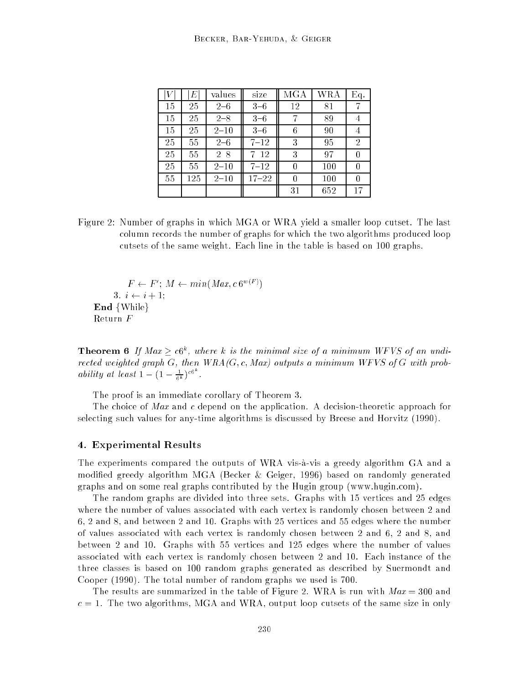| V  | E   | values   | size      | <b>MGA</b> | <b>WRA</b> | Eq. |
|----|-----|----------|-----------|------------|------------|-----|
| 15 | 25  | $2 - 6$  | $3 - 6$   | 12         | 81         | 7   |
| 15 | 25  | $2 - 8$  | $3 - 6$   | 7          | 89         |     |
| 15 | 25  | $2 - 10$ | $3 - 6$   | 6          | 90         | 4   |
| 25 | 55  | $2 - 6$  | $7 - 12$  | 3          | 95         | 2   |
| 25 | 55  | $2 - 8$  | $7 - 12$  | 3          | 97         | 0   |
| 25 | 55  | $2 - 10$ | $7 - 12$  | 0          | 100        | 0   |
| 55 | 125 | $2 - 10$ | $17 - 22$ | 0          | 100        | 0   |
|    |     |          |           | 31         | 652        | 17  |

Figure 2: Number of graphs in which MGA or WRA yield a smaller loop cutset. The last column records the number of graphs for which the two algorithms produced loop cutsets of the same weight. Each line in the table is based on 100 graphs.

 $F \leftarrow F ; M \leftarrow min(Max, c \, 0^{m \cdot (m)})$ 3.  $i \leftarrow i + 1$ ; End  $\{While\}$ Return F

**Theorem 6** If Max  $\geq$  c<sub>0</sub><sup>x</sup>, where k is the minimal size of a minimum WFVS of an unairected weighted graph  $G$ , then  $WRA(G, c, Max)$  outputs a minimum WFVS of  $G$  with probability at least  $1 - (1 - \frac{1}{6^k})^{c_0^k}$ .

The proof is an immediate corollary of Theorem 3.

The choice of Max and c depend on the application. A decision-theoretic approach for selecting such values for any-time algorithms is discussed by Breese and Horvitz (1990).

#### 4. Experimental Results

The experiments compared the outputs of WRA vis-a-vis a greedy algorithm GA and a modied greedy algorithm MGA (Becker & Geiger, 1996) based on randomly generated graphs and on some real graphs contributed by the Hugin group (www.hugin.com).

The random graphs are divided into three sets. Graphs with 15 vertices and 25 edges where the number of values associated with each vertex is randomly chosen between 2 and 6, 2 and 8, and between 2 and 10. Graphs with 25 vertices and 55 edges where the number of values associated with each vertex is randomly chosen between 2 and 6, 2 and 8, and between 2 and 10. Graphs with 55 vertices and 125 edges where the number of values associated with each vertex is randomly chosen between 2 and 10. Each instance of the three classes is based on 100 random graphs generated as described by Suermondt and Cooper (1990). The total number of random graphs we used is 700.

The results are summarized in the table of Figure 2. WRA is run with  $Max = 300$  and  $c = 1$ . The two algorithms, MGA and WRA, output loop cutsets of the same size in only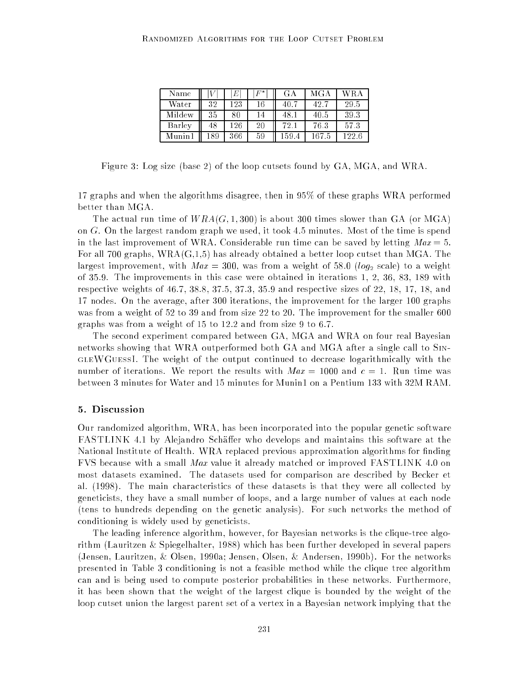| Name    |     | E   | $F^*$ | G A    | MGA   | WR A  |
|---------|-----|-----|-------|--------|-------|-------|
| Water   | 32  | 123 | 16    | - 40 - | 42.7  | 29.5  |
| Mildew  | 35  | 80  | 14    |        | 40.5  | 39.3  |
| Barley  | 48  | 126 | 20    | 72.    | 76.3  | 57.3  |
| Munin 1 | 189 | 366 | 59    | 159    | 167.5 | 122.6 |

Figure 3: Log size (base 2) of the loop cutsets found by GA, MGA, and WRA.

17 graphs and when the algorithms disagree, then in 95% of these graphs WRA performed better than MGA.

The actual run time of  $WRA(G, 1, 300)$  is about 300 times slower than GA (or MGA) on  $G$ . On the largest random graph we used, it took 4.5 minutes. Most of the time is spend in the last improvement of WRA. Considerable run time can be saved by letting  $Max = 5$ . For all 700 graphs,  $WRA(G,1,5)$  has already obtained a better loop cutset than MGA. The largest improvement, with  $Max = 300$ , was from a weight of 58.0 (log<sub>2</sub> scale) to a weight of 35.9. The improvements in this case were obtained in iterations 1, 2, 36, 83, 189 with respective weights of 46.7, 38.8, 37.5, 37.3, 35.9 and respective sizes of 22, 18, 17, 18, and 17 nodes. On the average, after 300 iterations, the improvement for the larger 100 graphs was from a weight of 52 to 39 and from size 22 to 20. The improvement for the smaller 600 graphs was from a weight of 15 to 12.2 and from size 9 to 6.7.

The second experiment compared between GA, MGA and WRA on four real Bayesian networks showing that WRA outperformed both GA and MGA after a single call to SingleWGuessI. The weight of the output continued to decrease logarithmically with the number of iterations. We report the results with  $Max = 1000$  and  $c = 1$ . Run time was between 3 minutes for Water and 15 minutes for Munin1 on a Pentium 133 with 32M RAM.

#### 5. Discussion

Our randomized algorithm, WRA, has been incorporated into the popular genetic software FASTLINK 4.1 by Alejandro Schäffer who develops and maintains this software at the National Institute of Health. WRA replaced previous approximation algorithms for finding FVS because with a small Max value it already matched or improved FASTLINK 4.0 on most datasets examined. The datasets used for comparison are described by Becker et al. (1998). The main characteristics of these datasets is that they were all collected by geneticists, they have a small number of loops, and a large number of values at each node (tens to hundreds depending on the genetic analysis). For such networks the method of conditioning is widely used by geneticists.

The leading inference algorithm, however, for Bayesian networks is the clique-tree algorithm (Lauritzen & Spiegelhalter, 1988) which has been further developed in several papers (Jensen, Lauritzen, & Olsen, 1990a; Jensen, Olsen, & Andersen, 1990b). For the networks presented in Table 3 conditioning is not a feasible method while the clique tree algorithm can and is being used to compute posterior probabilities in these networks. Furthermore, it has been shown that the weight of the largest clique is bounded by the weight of the loop cutset union the largest parent set of a vertex in a Bayesian network implying that the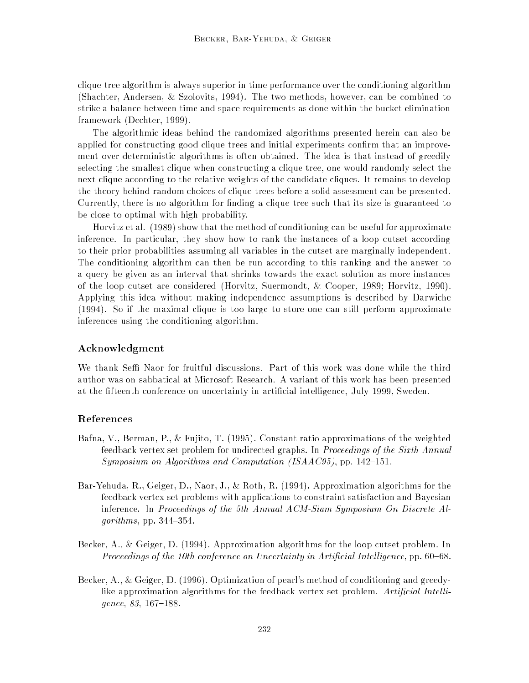clique tree algorithm is always superior in time performance over the conditioning algorithm (Shachter, Andersen, & Szolovits, 1994). The two methods, however, can be combined to strike a balance between time and space requirements as done within the bucket elimination framework (Dechter, 1999).

The algorithmic ideas behind the randomized algorithms presented herein can also be applied for constructing good clique trees and initial experiments confirm that an improvement over deterministic algorithms is often obtained. The idea is that instead of greedily selecting the smallest clique when constructing a clique tree, one would randomly select the next clique according to the relative weights of the candidate cliques. It remains to develop the theory behind random choices of clique trees before a solid assessment can be presented. Currently, there is no algorithm for finding a clique tree such that its size is guaranteed to be close to optimal with high probability.

Horvitz et al. (1989) show that the method of conditioning can be useful for approximate inference. In particular, they show how to rank the instances of a loop cutset according to their prior probabilities assuming all variables in the cutset are marginally independent. The conditioning algorithm can then be run according to this ranking and the answer to a query be given as an interval that shrinks towards the exact solution as more instances of the loop cutset are considered (Horvitz, Suermondt, & Cooper, 1989; Horvitz, 1990). Applying this idea without making independence assumptions is described by Darwiche (1994). So if the maximal clique is too large to store one can still perform approximate inferences using the conditioning algorithm.

## Acknowledgment

We thank Seffi Naor for fruitful discussions. Part of this work was done while the third author was on sabbatical at Microsoft Research. A variant of this work has been presented at the fteenth conference on uncertainty in articial intelligence, July 1999, Sweden.

# References

- Bafna, V., Berman, P., & Fujito, T. (1995). Constant ratio approximations of the weighted feedback vertex set problem for undirected graphs. In Proceedings of the Sixth Annual Symposium on Algorithms and Computation (ISAAC95), pp. 142–151.
- Bar-Yehuda, R., Geiger, D., Naor, J., & Roth, R. (1994). Approximation algorithms for the feedback vertex set problems with applications to constraint satisfaction and Bayesian inference. In Proceedings of the 5th Annual ACM-Siam Symposium On Discrete Algorithms, pp.  $344-354$ .
- Becker, A., & Geiger, D. (1994). Approximation algorithms for the loop cutset problem. In Proceedings of the 10th conference on Uncertainty in Artificial Intelligence, pp.  $60-68$ .
- Becker, A., & Geiger, D. (1996). Optimization of pearl's method of conditioning and greedylike approximation algorithms for the feedback vertex set problem. Artificial Intelligence,  $83, 167{-}188$ .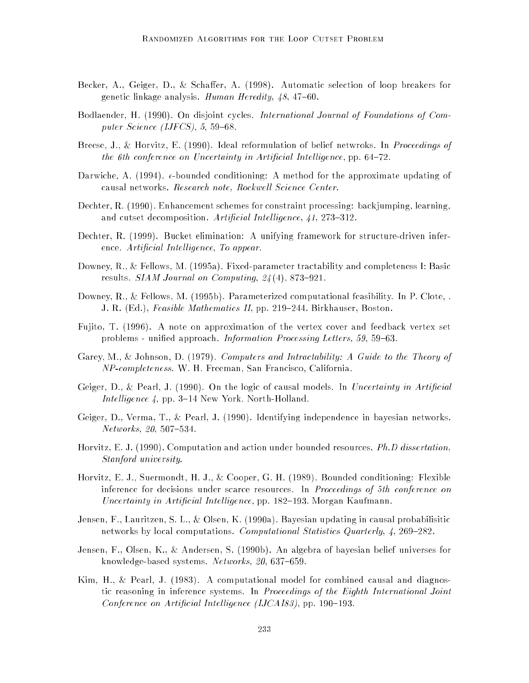- Becker, A., Geiger, D., & Schaffer, A. (1998). Automatic selection of loop breakers for genetic linkage analysis. Human Heredity,  $48, 47{-}60$ .
- Bodlaender, H. (1990). On disjoint cycles. International Journal of Foundations of Computer Science (IJFCS),  $5, 59-68$ .
- Breese, J., & Horvitz, E. (1990). Ideal reformulation of belief netwroks. In Proceedings of the 6th conference on Uncertainty in Artificial Intelligence, pp.  $64-72$ .
- Darwiche, A. (1994).  $\epsilon$ -bounded conditioning: A method for the approximate updating of causal networks. Research note, Rockwell Science Center.
- Dechter, R. (1990). Enhancement schemes for constraint processing: backjumping, learning, and cutset decomposition. Artificial Intelligence,  $41, 273{-}312$ .
- Dechter, R. (1999). Bucket elimination: A unifying framework for structure-driven inference. Artificial Intelligence, To appear.
- Downey, R., & Fellows, M. (1995a). Fixed-parameter tractability and completeness I: Basic results. SIAM Journal on Computing,  $24(4)$ , 873-921.
- Downey, R., & Fellows, M. (1995b). Parameterized computational feasibility. In P. Clote, . J. R. (Ed.), Feasible Mathematics II, pp. 219-244. Birkhauser, Boston.
- Fujito, T. (1996). A note on approximation of the vertex cover and feedback vertex set problems - unified approach. *Information Processing Letters*, 59, 59–63.
- Garey, M., & Johnson, D. (1979). Computers and Intractability: A Guide to the Theory of NP-completeness. W. H. Freeman, San Francisco, California.
- Geiger, D., & Pearl, J. (1990). On the logic of causal models. In Uncertainty in Artificial Intelligence  $\lambda$ , pp. 3-14 New York. North-Holland.
- Geiger, D., Verma, T., & Pearl, J. (1990). Identifying independence in bayesian networks.  $Networks, 20, 507–534.$
- Horvitz, E. J. (1990). Computation and action under bounded resources. Ph.D dissertation, Stanford university.
- Horvitz, E. J., Suermondt, H. J., & Cooper, G. H. (1989). Bounded conditioning: Flexible inference for decisions under scarce resources. In Proceedings of 5th conference on Uncertainty in Artificial Intelligence, pp. 182–193. Morgan Kaufmann.
- Jensen, F., Lauritzen, S. L., & Olsen, K. (1990a). Bayesian updating in causal probabilisitic networks by local computations. Computational Statistics Quarterly,  $\ddot{4}$ , 269-282.
- Jensen, F., Olsen, K., & Andersen, S. (1990b). An algebra of bayesian belief universes for knowledge-based systems. Networks, 20, 637-659.
- Kim, H., & Pearl, J. (1983). A computational model for combined causal and diagnostic reasoning in inference systems. In Proceedings of the Eighth International Joint Conference on Artificial Intelligence (IJCAI83), pp. 190-193.